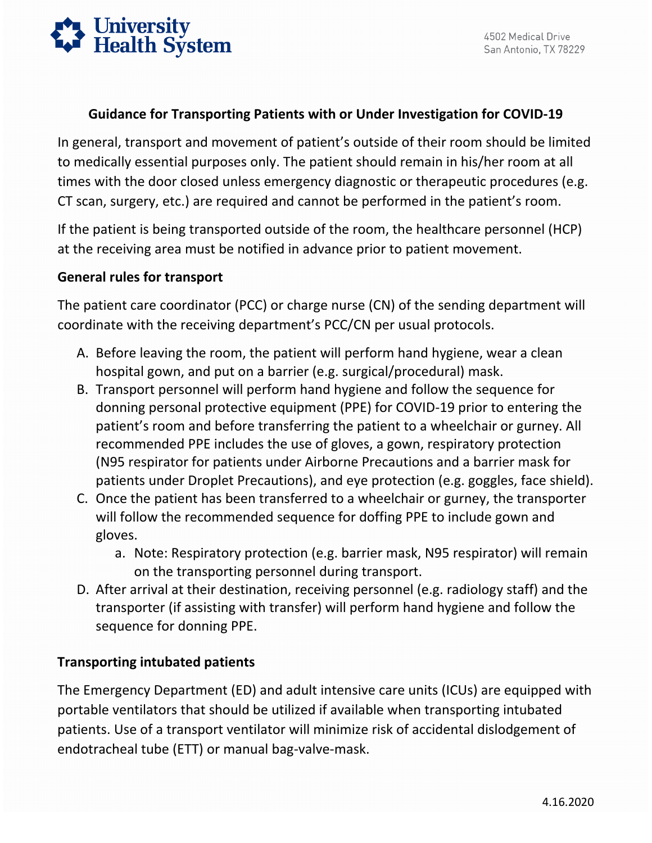

## **Guidance for Transporting Patients with or Under Investigation for COVID-19**

 In general, transport and movement of patient's outside of their room should be limited times with the door closed unless emergency diagnostic or therapeutic procedures (e.g. to medically essential purposes only. The patient should remain in his/her room at all CT scan, surgery, etc.) are required and cannot be performed in the patient's room.

 If the patient is being transported outside of the room, the healthcare personnel (HCP) at the receiving area must be notified in advance prior to patient movement.

## **General rules for transport**

The patient care coordinator (PCC) or charge nurse (CN) of the sending department will coordinate with the receiving department's PCC/CN per usual protocols.

- A. Before leaving the room, the patient will perform hand hygiene, wear a clean hospital gown, and put on a barrier (e.g. surgical/procedural) mask.
- B. Transport personnel will perform hand hygiene and follow the sequence for donning personal protective equipment (PPE) for COVID-19 prior to entering the patient's room and before transferring the patient to a wheelchair or gurney. All recommended PPE includes the use of gloves, a gown, respiratory protection (N95 respirator for patients under Airborne Precautions and a barrier mask for patients under Droplet Precautions), and eye protection (e.g. goggles, face shield).
- C. Once the patient has been transferred to a wheelchair or gurney, the transporter will follow the recommended sequence for doffing PPE to include gown and gloves.
	- a. Note: Respiratory protection (e.g. barrier mask, N95 respirator) will remain on the transporting personnel during transport.
- D. After arrival at their destination, receiving personnel (e.g. radiology staff) and the transporter (if assisting with transfer) will perform hand hygiene and follow the sequence for donning PPE.

## **Transporting intubated patients**

 portable ventilators that should be utilized if available when transporting intubated The Emergency Department (ED) and adult intensive care units (ICUs) are equipped with patients. Use of a transport ventilator will minimize risk of accidental dislodgement of endotracheal tube (ETT) or manual bag-valve-mask.